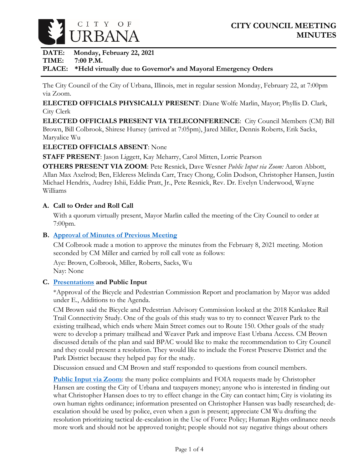

**DATE: Monday, February 22, 2021**

### **TIME: 7:00 P.M.**

# **PLACE: \*Held virtually due to Governor's and Mayoral Emergency Orders**

The City Council of the City of Urbana, Illinois, met in regular session Monday, February 22, at 7:00pm via Zoom.

**ELECTED OFFICIALS PHYSICALLY PRESENT**: Diane Wolfe Marlin, Mayor; Phyllis D. Clark, City Clerk

**ELECTED OFFICIALS PRESENT VIA TELECONFERENCE**: City Council Members (CM) Bill Brown, Bill Colbrook, Shirese Hursey (arrived at 7:05pm), Jared Miller, Dennis Roberts, Erik Sacks, Maryalice Wu

# **ELECTED OFFICIALS ABSENT**: None

**STAFF PRESENT**: Jason Liggett, Kay Meharry, Carol Mitten, Lorrie Pearson

**OTHERS PRESENT VIA ZOOM**: Pete Resnick, Dave Wesner *Public Input via Zoom:* Aaron Abbott, Allan Max Axelrod; Ben, Elderess Melinda Carr, Tracy Chong, Colin Dodson, Christopher Hansen, Justin Michael Hendrix, Audrey Ishii, Eddie Pratt, Jr., Pete Resnick, Rev. Dr. Evelyn Underwood, Wayne Williams

# **A. Call to Order and Roll Call**

With a quorum virtually present, Mayor Marlin called the meeting of the City Council to order at 7:00pm.

# **B. [Approval of Minutes of Previous Meeting](https://www.city.urbana.il.us/Scripts/CouncilVideo/Video.asp?v=/_Video/City_Council/2021/20210222/01._Start_of_Meeting.mp4)**

CM Colbrook made a motion to approve the minutes from the February 8, 2021 meeting. Motion seconded by CM Miller and carried by roll call vote as follows:

Aye: Brown, Colbrook, Miller, Roberts, Sacks, Wu Nay: None

# **C. [Presentations](https://www.city.urbana.il.us/Scripts/CouncilVideo/Video.asp?v=/_Video/City_Council/2021/20210222/02._Kickapoo_Rail_Trail_Presentation.mp4) and Public Input**

\*Approval of the Bicycle and Pedestrian Commission Report and proclamation by Mayor was added under E., Additions to the Agenda.

CM Brown said the Bicycle and Pedestrian Advisory Commission looked at the 2018 Kankakee Rail Trail Connectivity Study. One of the goals of this study was to try to connect Weaver Park to the existing trailhead, which ends where Main Street comes out to Route 150. Other goals of the study were to develop a primary trailhead and Weaver Park and improve East Urbana Access. CM Brown discussed details of the plan and said BPAC would like to make the recommendation to City Council and they could present a resolution. They would like to include the Forest Preserve District and the Park District because they helped pay for the study.

Discussion ensued and CM Brown and staff responded to questions from council members.

**[Public Input via Zoom](https://www.city.urbana.il.us/Scripts/CouncilVideo/Video.asp?v=/_Video/City_Council/2021/20210222/03._Public_Input.mp4)**: the many police complaints and FOIA requests made by Christopher Hansen are costing the City of Urbana and taxpayers money; anyone who is interested in finding out what Christopher Hansen does to try to effect change in the City can contact him; City is violating its own human rights ordinance; information presented on Christopher Hansen was badly researched; deescalation should be used by police, even when a gun is present; appreciate CM Wu drafting the resolution prioritizing tactical de-escalation in the Use of Force Policy; Human Rights ordinance needs more work and should not be approved tonight; people should not say negative things about others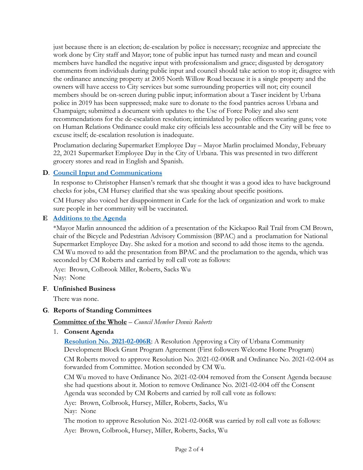just because there is an election; de-escalation by police is necessary; recognize and appreciate the work done by City staff and Mayor; tone of public input has turned nasty and mean and council members have handled the negative input with professionalism and grace; disgusted by derogatory comments from individuals during public input and council should take action to stop it; disagree with the ordinance annexing property at 2005 North Willow Road because it is a single property and the owners will have access to City services but some surrounding properties will not; city council members should be on-screen during public input; information about a Taser incident by Urbana police in 2019 has been suppressed; make sure to donate to the food pantries across Urbana and Champaign; submitted a document with updates to the Use of Force Policy and also sent recommendations for the de-escalation resolution; intimidated by police officers wearing guns; vote on Human Relations Ordinance could make city officials less accountable and the City will be free to excuse itself; de-escalation resolution is inadequate.

Proclamation declaring Supermarket Employee Day – Mayor Marlin proclaimed Monday, February 22, 2021 Supermarket Employee Day in the City of Urbana. This was presented in two different grocery stores and read in English and Spanish.

# **D**. **[Council Input and Communications](https://www.city.urbana.il.us/Scripts/CouncilVideo/Video.asp?v=/_Video/City_Council/2021/20210222/04._Council_Input_and_Communications.mp4)**

In response to Christopher Hansen's remark that she thought it was a good idea to have background checks for jobs, CM Hursey clarified that she was speaking about specific positions.

CM Hursey also voiced her disappointment in Carle for the lack of organization and work to make sure people in her community will be vaccinated.

### **E [Additions to the Agenda](https://www.city.urbana.il.us/Scripts/CouncilVideo/Video.asp?v=/_Video/City_Council/2021/20210222/01._Start_of_Meeting.mp4)**

\*Mayor Marlin announced the addition of a presentation of the Kickapoo Rail Trail from CM Brown, chair of the Bicycle and Pedestrian Advisory Commission (BPAC) and a proclamation for National Supermarket Employee Day. She asked for a motion and second to add those items to the agenda. CM Wu moved to add the presentation from BPAC and the proclamation to the agenda, which was seconded by CM Roberts and carried by roll call vote as follows:

Aye: Brown, Colbrook Miller, Roberts, Sacks Wu Nay: None

#### **F**. **Unfinished Business**

There was none.

### **G**. **Reports of Standing Committees**

### **Committee of the Whole** – *Council Member Dennis Roberts*

1. **Consent Agenda**

**[Resolution No. 2021-02-006R](https://www.city.urbana.il.us/Scripts/CouncilVideo/Video.asp?v=/_Video/City_Council/2021/20210222/05._Consent_Agenda.mp4)**: A Resolution Approving a City of Urbana Community Development Block Grant Program Agreement (First followers Welcome Home Program)

CM Roberts moved to approve Resolution No. 2021-02-006R and Ordinance No. 2021-02-004 as forwarded from Committee. Motion seconded by CM Wu.

CM Wu moved to have Ordinance No. 2021-02-004 removed from the Consent Agenda because she had questions about it. Motion to remove Ordinance No. 2021-02-004 off the Consent Agenda was seconded by CM Roberts and carried by roll call vote as follows:

Aye: Brown, Colbrook, Hursey, Miller, Roberts, Sacks, Wu Nay: None

The motion to approve Resolution No. 2021-02-006R was carried by roll call vote as follows: Aye: Brown, Colbrook, Hursey, Miller, Roberts, Sacks, Wu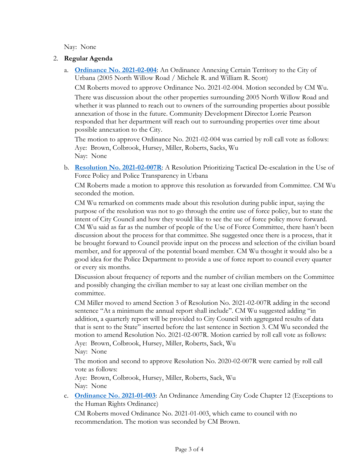Nay: None

### 2. **Regular Agenda**

a. **[Ordinance No. 2021-02-004](https://www.city.urbana.il.us/Scripts/CouncilVideo/Video.asp?v=/_Video/City_Council/2021/20210222/05._Consent_Agenda.mp4)**: An Ordinance Annexing Certain Territory to the City of Urbana (2005 North Willow Road / Michele R. and William R. Scott)

CM Roberts moved to approve Ordinance No. 2021-02-004. Motion seconded by CM Wu. There was discussion about the other properties surrounding 2005 North Willow Road and whether it was planned to reach out to owners of the surrounding properties about possible annexation of those in the future. Community Development Director Lorrie Pearson responded that her department will reach out to surrounding properties over time about possible annexation to the City.

The motion to approve Ordinance No. 2021-02-004 was carried by roll call vote as follows: Aye: Brown, Colbrook, Hursey, Miller, Roberts, Sacks, Wu Nay: None

b. **[Resolution No. 2021-02-007R](https://www.city.urbana.il.us/Scripts/CouncilVideo/Video.asp?v=/_Video/City_Council/2021/20210222/06._Resolution_2021-02-007R.mp4)**: A Resolution Prioritizing Tactical De-escalation in the Use of Force Policy and Police Transparency in Urbana

CM Roberts made a motion to approve this resolution as forwarded from Committee. CM Wu seconded the motion.

CM Wu remarked on comments made about this resolution during public input, saying the purpose of the resolution was not to go through the entire use of force policy, but to state the intent of City Council and how they would like to see the use of force policy move forward. CM Wu said as far as the number of people of the Use of Force Committee, there hasn't been discussion about the process for that committee. She suggested once there is a process, that it be brought forward to Council provide input on the process and selection of the civilian board member, and for approval of the potential board member. CM Wu thought it would also be a good idea for the Police Department to provide a use of force report to council every quarter or every six months.

Discussion about frequency of reports and the number of civilian members on the Committee and possibly changing the civilian member to say at least one civilian member on the committee.

CM Miller moved to amend Section 3 of Resolution No. 2021-02-007R adding in the second sentence "At a minimum the annual report shall include". CM Wu suggested adding "in addition, a quarterly report will be provided to City Council with aggregated results of data that is sent to the State" inserted before the last sentence in Section 3. CM Wu seconded the motion to amend Resolution No. 2021-02-007R. Motion carried by roll call vote as follows: Aye: Brown, Colbrook, Hursey, Miller, Roberts, Sack, Wu

Nay: None

The motion and second to approve Resolution No. 2020-02-007R were carried by roll call vote as follows:

Aye: Brown, Colbrook, Hursey, Miller, Roberts, Sack, Wu Nay: None

c. **[Ordinance No. 2021-01-003](https://www.city.urbana.il.us/Scripts/CouncilVideo/Video.asp?v=/_Video/City_Council/2021/20210222/07._Ordinance_2021-01-003.mp4)**: An Ordinance Amending City Code Chapter 12 (Exceptions to the Human Rights Ordinance)

CM Roberts moved Ordinance No. 2021-01-003, which came to council with no recommendation. The motion was seconded by CM Brown.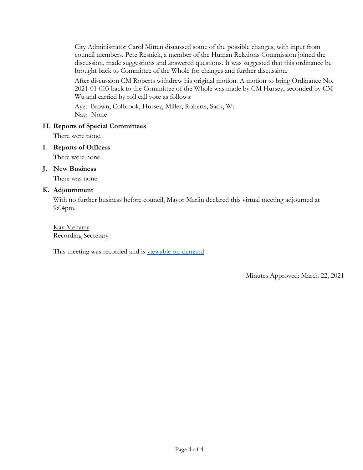City Administrator Carol Mitten discussed some of the possible changes, with input from council members. Pete Resnick, a member of the Human Relations Commission joined the discussion, made suggestions and answered questions. It was suggested that this ordinance be brought back to Committee of the Whole for changes and further discussion.

After discussion CM Roberts withdrew his original motion. A motion to bring Ordinance No. 2021-01-003 back to the Committee of the Whole was made by CM Hursey, seconded by CM Wu and carried by roll call vote as follows:

Aye: Brown, Colbrook, Hursey, Miller, Roberts, Sack, Wu Nay: None

### **H**. **Reports of Special Committees**

There were none.

#### **I**. **Reports of Officers**

There were none.

#### **J. New Business**

There was none.

#### **K. Adjournment**

With no further business before council, Mayor Marlin declared this virtual meeting adjourned at 9:04pm.

Kay Meharry Recording Secretary

This meeting was recorded and is [viewable on-demand.](https://www.urbanaillinois.us/node/9076)

Minutes Approved: March 22, 2021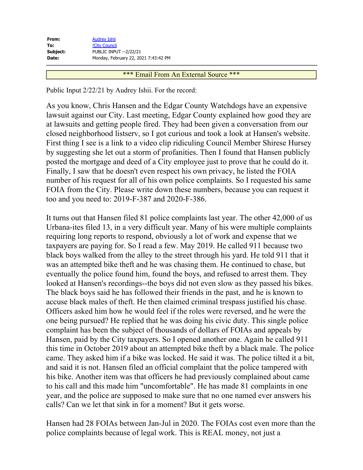| <b>Audrey Ishii</b>                  |
|--------------------------------------|
| <b>!City Council</b>                 |
| <b>PUBLIC INPUT --2/22/21</b>        |
| Monday, February 22, 2021 7:43:42 PM |
|                                      |

#### \*\*\* Email From An External Source \*\*\*

Public Input 2/22/21 by Audrey Ishii. For the record:

As you know, Chris Hansen and the Edgar County Watchdogs have an expensive lawsuit against our City. Last meeting, Edgar County explained how good they are at lawsuits and getting people fired. They had been given a conversation from our closed neighborhood listserv, so I got curious and took a look at Hansen's website. First thing I see is a link to a video clip ridiculing Council Member Shirese Hursey by suggesting she let out a storm of profanities. Then I found that Hansen publicly posted the mortgage and deed of a City employee just to prove that he could do it. Finally, I saw that he doesn't even respect his own privacy, he listed the FOIA number of his request for all of his own police complaints. So I requested his same FOIA from the City. Please write down these numbers, because you can request it too and you need to: 2019-F-387 and 2020-F-386.

It turns out that Hansen filed 81 police complaints last year. The other 42,000 of us Urbana-ites filed 13, in a very difficult year. Many of his were multiple complaints requiring long reports to respond, obviously a lot of work and expense that we taxpayers are paying for. So I read a few. May 2019. He called 911 because two black boys walked from the alley to the street through his yard. He told 911 that it was an attempted bike theft and he was chasing them. He continued to chase, but eventually the police found him, found the boys, and refused to arrest them. They looked at Hansen's recordings--the boys did not even slow as they passed his bikes. The black boys said he has followed their friends in the past, and he is known to accuse black males of theft. He then claimed criminal trespass justified his chase. Officers asked him how he would feel if the roles were reversed, and he were the one being pursued? He replied that he was doing his civic duty. This single police complaint has been the subject of thousands of dollars of FOIAs and appeals by Hansen, paid by the City taxpayers. So I opened another one. Again he called 911 this time in October 2019 about an attempted bike theft by a black male. The police came. They asked him if a bike was locked. He said it was. The police tilted it a bit, and said it is not. Hansen filed an official complaint that the police tampered with his bike. Another item was that officers he had previously complained about came to his call and this made him "uncomfortable". He has made 81 complaints in one year, and the police are supposed to make sure that no one named ever answers his calls? Can we let that sink in for a moment? But it gets worse.

Hansen had 28 FOIAs between Jan-Jul in 2020. The FOIAs cost even more than the police complaints because of legal work. This is REAL money, not just a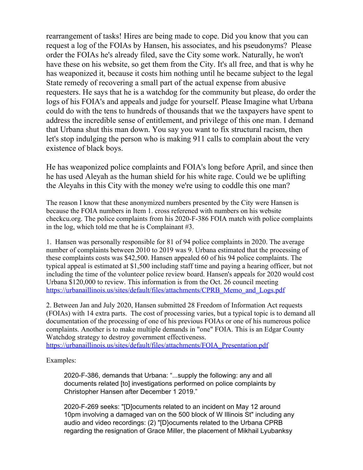rearrangement of tasks! Hires are being made to cope. Did you know that you can request a log of the FOIAs by Hansen, his associates, and his pseudonyms? Please order the FOIAs he's already filed, save the City some work. Naturally, he won't have these on his website, so get them from the City. It's all free, and that is why he has weaponized it, because it costs him nothing until he became subject to the legal State remedy of recovering a small part of the actual expense from abusive requesters. He says that he is a watchdog for the community but please, do order the logs of his FOIA's and appeals and judge for yourself. Please Imagine what Urbana could do with the tens to hundreds of thousands that we the taxpayers have spent to address the incredible sense of entitlement, and privilege of this one man. I demand that Urbana shut this man down. You say you want to fix structural racism, then let's stop indulging the person who is making 911 calls to complain about the very existence of black boys.

He has weaponized police complaints and FOIA's long before April, and since then he has used Aleyah as the human shield for his white rage. Could we be uplifting the Aleyahs in this City with the money we're using to coddle this one man?

The reason I know that these anonymized numbers presented by the City were Hansen is because the FOIA numbers in Item 1. cross referened with numbers on his website checkcu.org. The police complaints from his 2020-F-386 FOIA match with police complaints in the log, which told me that he is Complainant #3.

1. Hansen was personally responsible for 81 of 94 police complaints in 2020. The average number of complaints between 2010 to 2019 was 9. Urbana estimated that the processing of these complaints costs was \$42,500. Hansen appealed 60 of his 94 police complaints. The typical appeal is estimated at \$1,500 including staff time and paying a hearing officer, but not including the time of the volunteer police review board. Hansen's appeals for 2020 would cost Urbana \$120,000 to review. This information is from the Oct. 26 council meeting https://urbanaillinois.us/sites/default/files/attachments/CPRB Memo and Logs.pdf

2. Between Jan and July 2020, Hansen submitted 28 Freedom of Information Act requests (FOIAs) with 14 extra parts. The cost of processing varies, but a typical topic is to demand all documentation of the processing of one of his previous FOIAs or one of his numerous police complaints. Another is to make multiple demands in "one" FOIA. This is an Edgar County Watchdog strategy to destroy government effectiveness. [https://urbanaillinois.us/sites/default/files/attachments/FOIA\\_Presentation.pdf](https://urbanaillinois.us/sites/default/files/attachments/FOIA_Presentation.pdf)

Examples:

2020-F-386, demands that Urbana: "...supply the following: any and all documents related [to] investigations performed on police complaints by Christopher Hansen after December 1 2019."

2020-F-269 seeks: "[D]ocuments related to an incident on May 12 around 10pm involving a damaged van on the 500 block of W Illinois St" including any audio and video recordings: (2) "[D}ocuments related to the Urbana CPRB regarding the resignation of Grace Miller, the placement of Mikhail Lyubanksy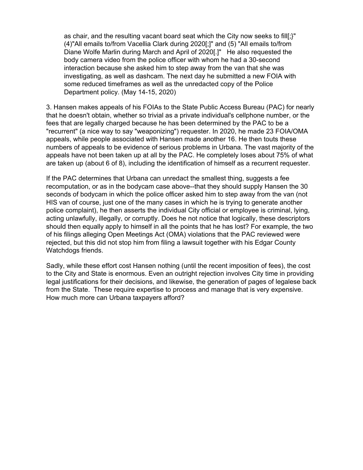as chair, and the resulting vacant board seat which the City now seeks to fill[;}" (4)"All emails to/from Vacellia Clark during 2020[;]" and (5) "All emails to/from Diane Wolfe Marlin during March and April of 2020[.]" He also requested the body camera video from the police officer with whom he had a 30-second interaction because she asked him to step away from the van that she was investigating, as well as dashcam. The next day he submitted a new FOIA with some reduced timeframes as well as the unredacted copy of the Police Department policy. (May 14-15, 2020)

3. Hansen makes appeals of his FOIAs to the State Public Access Bureau (PAC) for nearly that he doesn't obtain, whether so trivial as a private individual's cellphone number, or the fees that are legally charged because he has been determined by the PAC to be a "recurrent" (a nice way to say "weaponizing") requester. In 2020, he made 23 FOIA/OMA appeals, while people associated with Hansen made another 16. He then touts these numbers of appeals to be evidence of serious problems in Urbana. The vast majority of the appeals have not been taken up at all by the PAC. He completely loses about 75% of what are taken up (about 6 of 8), including the identification of himself as a recurrent requester.

If the PAC determines that Urbana can unredact the smallest thing, suggests a fee recomputation, or as in the bodycam case above--that they should supply Hansen the 30 seconds of bodycam in which the police officer asked him to step away from the van (not HIS van of course, just one of the many cases in which he is trying to generate another police complaint), he then asserts the individual City official or employee is criminal, lying, acting unlawfully, illegally, or corruptly. Does he not notice that logically, these descriptors should then equally apply to himself in all the points that he has lost? For example, the two of his filings alleging Open Meetings Act (OMA) violations that the PAC reviewed were rejected, but this did not stop him from filing a lawsuit together with his Edgar County Watchdogs friends.

Sadly, while these effort cost Hansen nothing (until the recent imposition of fees), the cost to the City and State is enormous. Even an outright rejection involves City time in providing legal justifications for their decisions, and likewise, the generation of pages of legalese back from the State. These require expertise to process and manage that is very expensive. How much more can Urbana taxpayers afford?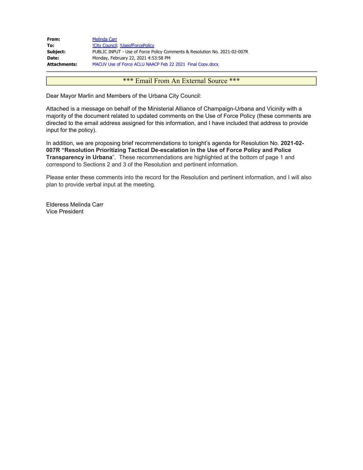| From:        | Melinda Carr                                                              |
|--------------|---------------------------------------------------------------------------|
| To:          | !City Council, !UseofForcePolicy                                          |
| Subject:     | PUBLIC INPUT - Use of Force Policy Comments & Resolution No. 2021-02-007R |
| Date:        | Monday, February 22, 2021 4:53:58 PM                                      |
| Attachments: | MACUV Use of Force ACLU NAACP Feb 22 2021 Final Copy.docx                 |

#### \*\*\* Email From An External Source \*\*\*

Dear Mayor Marlin and Members of the Urbana City Council:

Attached is a message on behalf of the Ministerial Alliance of Champaign-Urbana and Vicinity with a majority of the document related to updated comments on the Use of Force Policy (these comments are directed to the email address assigned for this information, and I have included that address to provide input for the policy).

In addition, we are proposing brief recommendations to tonight's agenda for Resolution No. **2021-02- 007R "Resolution Prioritizing Tactical De-escalation in the Use of Force Policy and Police Transparency in Urbana**". These recommendations are highlighted at the bottom of page 1 and correspond to Sections 2 and 3 of the Resolution and pertinent information.

Please enter these comments into the record for the Resolution and pertinent information, and I will also plan to provide verbal input at the meeting.

Elderess Melinda Carr Vice President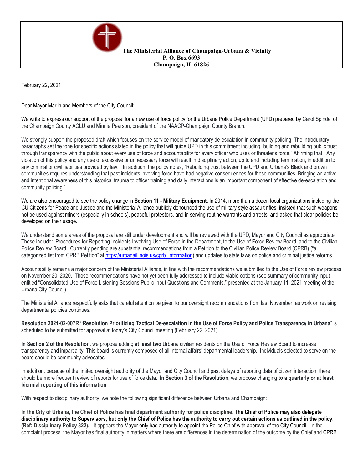

**The Ministerial Alliance of Champaign-Urbana & Vicinity P. O. Box 6693 Champaign, IL 61826**

February 22, 2021

Dear Mayor Marlin and Members of the City Council:

We write to express our support of the proposal for a new use of force policy for the Urbana Police Department (UPD) prepared by Carol Spindel of the Champaign County ACLU and Minnie Pearson, president of the NAACP-Champaign County Branch.

We strongly support the proposed draft which focuses on the service model of mandatory de-escalation in community policing. The introductory paragraphs set the tone for specific actions stated in the policy that will guide UPD in this commitment including "building and rebuilding public trust through transparency with the public about every use of force and accountability for every officer who uses or threatens force." Affirming that, "Any violation of this policy and any use of excessive or unnecessary force will result in disciplinary action, up to and including termination, in addition to any criminal or civil liabilities provided by law." In addition, the policy notes, "Rebuilding trust between the UPD and Urbana's Black and brown communities requires understanding that past incidents involving force have had negative consequences for these communities. Bringing an active and intentional awareness of this historical trauma to officer training and daily interactions is an important component of effective de-escalation and community policing."

We are also encouraged to see the policy change in **Section 11 - Military Equipment.** In 2014, more than a dozen local organizations including the CU Citizens for Peace and Justice and the Ministerial Alliance publicly denounced the use of military style assault rifles, insisted that such weapons not be used against minors (especially in schools), peaceful protestors, and in serving routine warrants and arrests; and asked that clear policies be developed on their usage.

We understand some areas of the proposal are still under development and will be reviewed with the UPD, Mayor and City Council as appropriate. These include: Procedures for Reporting Incidents Involving Use of Force in the Department, to the Use of Force Review Board, and to the Civilian Police Review Board. Currently pending are substantial recommendations from a Petition to the Civilian Police Review Board (CPRB) ("a categorized list from CPRB Petition" at [https://urbanaillinois.us/cprb\\_information\)](https://urbanaillinois.us/cprb_information) and updates to state laws on police and criminal justice reforms.

Accountability remains a major concern of the Ministerial Alliance, in line with the recommendations we submitted to the Use of Force review process on November 20, 2020. Those recommendations have not yet been fully addressed to include viable options (see summary of community input entitled "Consolidated Use of Force Listening Sessions Public Input Questions and Comments," presented at the January 11, 2021 meeting of the Urbana City Council).

The Ministerial Alliance respectfully asks that careful attention be given to our oversight recommendations from last November, as work on revising departmental policies continues.

Resolution 2021-02-007R "Resolution Prioritizing Tactical De-escalation in the Use of Force Policy and Police Transparency in Urbana" is scheduled to be submitted for approval at today's City Council meeting (February 22, 2021).

**In Section 2 of the Resolution**. we propose adding **at least two** Urbana civilian residents on the Use of Force Review Board to increase transparency and impartiality. This board is currently composed of all internal affairs' departmental leadership. Individuals selected to serve on the board should be community advocates.

In addition, because of the limited oversight authority of the Mayor and City Council and past delays of reporting data of citizen interaction, there should be more frequent review of reports for use of force data. In Section 3 of the Resolution, we propose changing to a quarterly or at least **biennial reporting of this information**.

With respect to disciplinary authority, we note the following significant difference between Urbana and Champaign:

In the City of Urbana, the Chief of Police has final department authority for police discipline. The Chief of Police may also delegate disciplinary authority to Supervisors, but only the Chief of Police has the authority to carry out certain actions as outlined in the policy. **(Ref: Disciplinary Policy 322).** It appears the Mayor only has authority to appoint the Police Chief with approval of the City Council. In the complaint process, the Mayor has final authority in matters where there are differences in the determination of the outcome by the Chief and CPRB.